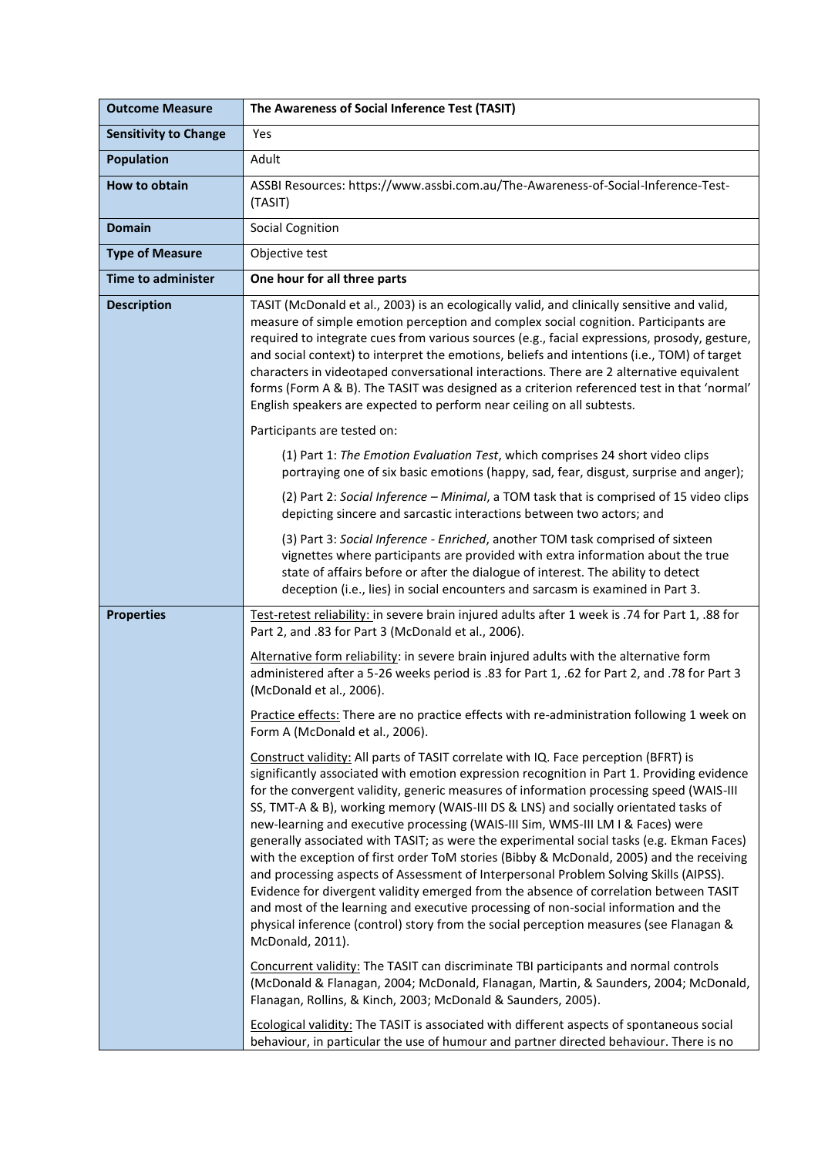| <b>Outcome Measure</b>       | The Awareness of Social Inference Test (TASIT)                                                                                                                                                                                                                                                                                                                                                                                                                                                                                                                                                                                                                                                                                                                                                                                                                                                                                                                                                                                         |
|------------------------------|----------------------------------------------------------------------------------------------------------------------------------------------------------------------------------------------------------------------------------------------------------------------------------------------------------------------------------------------------------------------------------------------------------------------------------------------------------------------------------------------------------------------------------------------------------------------------------------------------------------------------------------------------------------------------------------------------------------------------------------------------------------------------------------------------------------------------------------------------------------------------------------------------------------------------------------------------------------------------------------------------------------------------------------|
| <b>Sensitivity to Change</b> | Yes                                                                                                                                                                                                                                                                                                                                                                                                                                                                                                                                                                                                                                                                                                                                                                                                                                                                                                                                                                                                                                    |
| <b>Population</b>            | Adult                                                                                                                                                                                                                                                                                                                                                                                                                                                                                                                                                                                                                                                                                                                                                                                                                                                                                                                                                                                                                                  |
| How to obtain                | ASSBI Resources: https://www.assbi.com.au/The-Awareness-of-Social-Inference-Test-<br>(TASIT)                                                                                                                                                                                                                                                                                                                                                                                                                                                                                                                                                                                                                                                                                                                                                                                                                                                                                                                                           |
| <b>Domain</b>                | <b>Social Cognition</b>                                                                                                                                                                                                                                                                                                                                                                                                                                                                                                                                                                                                                                                                                                                                                                                                                                                                                                                                                                                                                |
| <b>Type of Measure</b>       | Objective test                                                                                                                                                                                                                                                                                                                                                                                                                                                                                                                                                                                                                                                                                                                                                                                                                                                                                                                                                                                                                         |
| <b>Time to administer</b>    | One hour for all three parts                                                                                                                                                                                                                                                                                                                                                                                                                                                                                                                                                                                                                                                                                                                                                                                                                                                                                                                                                                                                           |
| <b>Description</b>           | TASIT (McDonald et al., 2003) is an ecologically valid, and clinically sensitive and valid,<br>measure of simple emotion perception and complex social cognition. Participants are<br>required to integrate cues from various sources (e.g., facial expressions, prosody, gesture,<br>and social context) to interpret the emotions, beliefs and intentions (i.e., TOM) of target<br>characters in videotaped conversational interactions. There are 2 alternative equivalent<br>forms (Form A & B). The TASIT was designed as a criterion referenced test in that 'normal'<br>English speakers are expected to perform near ceiling on all subtests.                                                                                                                                                                                                                                                                                                                                                                                  |
|                              | Participants are tested on:                                                                                                                                                                                                                                                                                                                                                                                                                                                                                                                                                                                                                                                                                                                                                                                                                                                                                                                                                                                                            |
|                              | (1) Part 1: The Emotion Evaluation Test, which comprises 24 short video clips<br>portraying one of six basic emotions (happy, sad, fear, disgust, surprise and anger);                                                                                                                                                                                                                                                                                                                                                                                                                                                                                                                                                                                                                                                                                                                                                                                                                                                                 |
|                              | (2) Part 2: Social Inference - Minimal, a TOM task that is comprised of 15 video clips<br>depicting sincere and sarcastic interactions between two actors; and                                                                                                                                                                                                                                                                                                                                                                                                                                                                                                                                                                                                                                                                                                                                                                                                                                                                         |
|                              | (3) Part 3: Social Inference - Enriched, another TOM task comprised of sixteen<br>vignettes where participants are provided with extra information about the true<br>state of affairs before or after the dialogue of interest. The ability to detect<br>deception (i.e., lies) in social encounters and sarcasm is examined in Part 3.                                                                                                                                                                                                                                                                                                                                                                                                                                                                                                                                                                                                                                                                                                |
| <b>Properties</b>            | Test-retest reliability: in severe brain injured adults after 1 week is .74 for Part 1, .88 for<br>Part 2, and .83 for Part 3 (McDonald et al., 2006).                                                                                                                                                                                                                                                                                                                                                                                                                                                                                                                                                                                                                                                                                                                                                                                                                                                                                 |
|                              | Alternative form reliability: in severe brain injured adults with the alternative form<br>administered after a 5-26 weeks period is .83 for Part 1, .62 for Part 2, and .78 for Part 3<br>(McDonald et al., 2006).                                                                                                                                                                                                                                                                                                                                                                                                                                                                                                                                                                                                                                                                                                                                                                                                                     |
|                              | Practice effects: There are no practice effects with re-administration following 1 week on<br>Form A (McDonald et al., 2006).                                                                                                                                                                                                                                                                                                                                                                                                                                                                                                                                                                                                                                                                                                                                                                                                                                                                                                          |
|                              | Construct validity: All parts of TASIT correlate with IQ. Face perception (BFRT) is<br>significantly associated with emotion expression recognition in Part 1. Providing evidence<br>for the convergent validity, generic measures of information processing speed (WAIS-III<br>SS, TMT-A & B), working memory (WAIS-III DS & LNS) and socially orientated tasks of<br>new-learning and executive processing (WAIS-III Sim, WMS-III LM I & Faces) were<br>generally associated with TASIT; as were the experimental social tasks (e.g. Ekman Faces)<br>with the exception of first order ToM stories (Bibby & McDonald, 2005) and the receiving<br>and processing aspects of Assessment of Interpersonal Problem Solving Skills (AIPSS).<br>Evidence for divergent validity emerged from the absence of correlation between TASIT<br>and most of the learning and executive processing of non-social information and the<br>physical inference (control) story from the social perception measures (see Flanagan &<br>McDonald, 2011). |
|                              | Concurrent validity: The TASIT can discriminate TBI participants and normal controls<br>(McDonald & Flanagan, 2004; McDonald, Flanagan, Martin, & Saunders, 2004; McDonald,<br>Flanagan, Rollins, & Kinch, 2003; McDonald & Saunders, 2005).                                                                                                                                                                                                                                                                                                                                                                                                                                                                                                                                                                                                                                                                                                                                                                                           |
|                              | Ecological validity: The TASIT is associated with different aspects of spontaneous social<br>behaviour, in particular the use of humour and partner directed behaviour. There is no                                                                                                                                                                                                                                                                                                                                                                                                                                                                                                                                                                                                                                                                                                                                                                                                                                                    |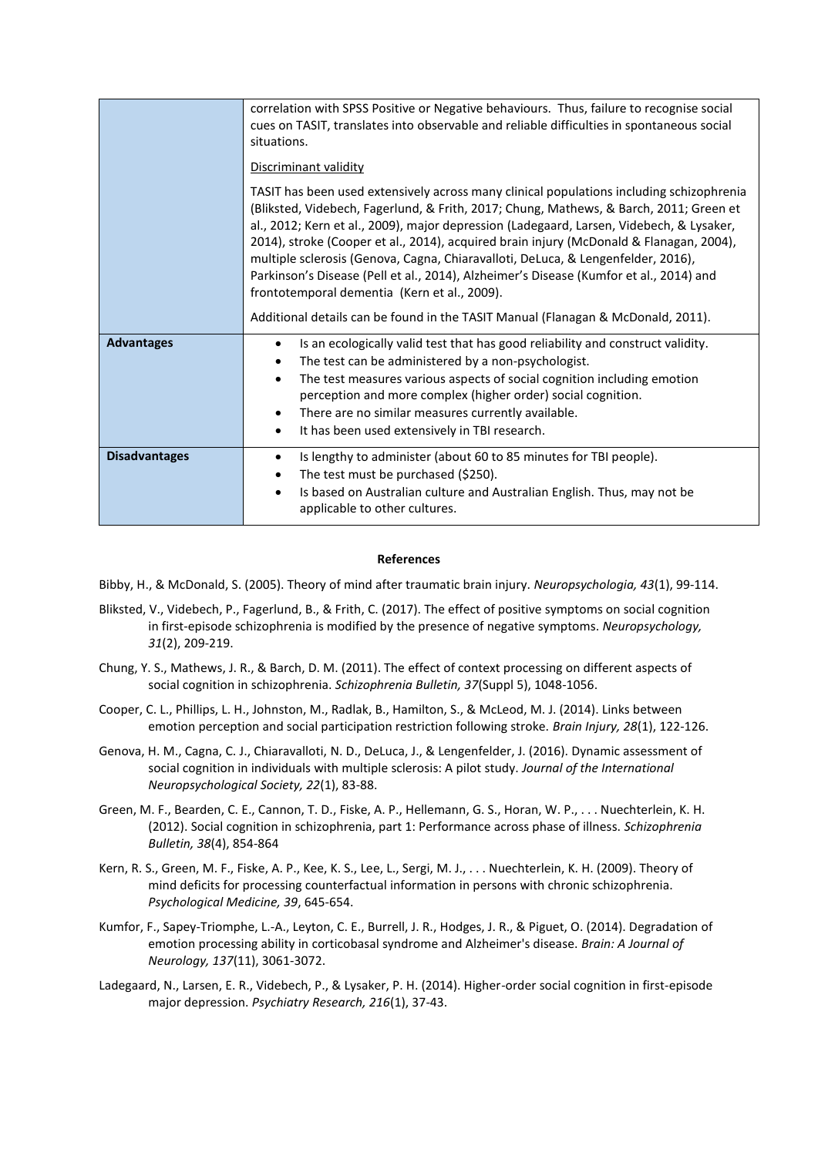|                      | correlation with SPSS Positive or Negative behaviours. Thus, failure to recognise social<br>cues on TASIT, translates into observable and reliable difficulties in spontaneous social<br>situations.<br>Discriminant validity<br>TASIT has been used extensively across many clinical populations including schizophrenia<br>(Bliksted, Videbech, Fagerlund, & Frith, 2017; Chung, Mathews, & Barch, 2011; Green et<br>al., 2012; Kern et al., 2009), major depression (Ladegaard, Larsen, Videbech, & Lysaker,<br>2014), stroke (Cooper et al., 2014), acquired brain injury (McDonald & Flanagan, 2004),<br>multiple sclerosis (Genova, Cagna, Chiaravalloti, DeLuca, & Lengenfelder, 2016),<br>Parkinson's Disease (Pell et al., 2014), Alzheimer's Disease (Kumfor et al., 2014) and<br>frontotemporal dementia (Kern et al., 2009). |
|----------------------|------------------------------------------------------------------------------------------------------------------------------------------------------------------------------------------------------------------------------------------------------------------------------------------------------------------------------------------------------------------------------------------------------------------------------------------------------------------------------------------------------------------------------------------------------------------------------------------------------------------------------------------------------------------------------------------------------------------------------------------------------------------------------------------------------------------------------------------|
| <b>Advantages</b>    | Additional details can be found in the TASIT Manual (Flanagan & McDonald, 2011).<br>Is an ecologically valid test that has good reliability and construct validity.<br>$\bullet$<br>The test can be administered by a non-psychologist.<br>$\bullet$<br>The test measures various aspects of social cognition including emotion<br>$\bullet$<br>perception and more complex (higher order) social cognition.<br>There are no similar measures currently available.<br>$\bullet$<br>It has been used extensively in TBI research.<br>$\bullet$                                                                                                                                                                                                                                                                                            |
| <b>Disadvantages</b> | Is lengthy to administer (about 60 to 85 minutes for TBI people).<br>$\bullet$<br>The test must be purchased (\$250).<br>$\bullet$<br>Is based on Australian culture and Australian English. Thus, may not be<br>$\bullet$<br>applicable to other cultures.                                                                                                                                                                                                                                                                                                                                                                                                                                                                                                                                                                              |

## **References**

Bibby, H., & McDonald, S. (2005). Theory of mind after traumatic brain injury. *Neuropsychologia, 43*(1), 99-114.

- Bliksted, V., Videbech, P., Fagerlund, B., & Frith, C. (2017). The effect of positive symptoms on social cognition in first-episode schizophrenia is modified by the presence of negative symptoms. *Neuropsychology, 31*(2), 209-219.
- Chung, Y. S., Mathews, J. R., & Barch, D. M. (2011). The effect of context processing on different aspects of social cognition in schizophrenia. *Schizophrenia Bulletin, 37*(Suppl 5), 1048-1056.
- Cooper, C. L., Phillips, L. H., Johnston, M., Radlak, B., Hamilton, S., & McLeod, M. J. (2014). Links between emotion perception and social participation restriction following stroke. *Brain Injury, 28*(1), 122-126.
- Genova, H. M., Cagna, C. J., Chiaravalloti, N. D., DeLuca, J., & Lengenfelder, J. (2016). Dynamic assessment of social cognition in individuals with multiple sclerosis: A pilot study. *Journal of the International Neuropsychological Society, 22*(1), 83-88.
- Green, M. F., Bearden, C. E., Cannon, T. D., Fiske, A. P., Hellemann, G. S., Horan, W. P., . . . Nuechterlein, K. H. (2012). Social cognition in schizophrenia, part 1: Performance across phase of illness. *Schizophrenia Bulletin, 38*(4), 854-864
- Kern, R. S., Green, M. F., Fiske, A. P., Kee, K. S., Lee, L., Sergi, M. J., . . . Nuechterlein, K. H. (2009). Theory of mind deficits for processing counterfactual information in persons with chronic schizophrenia. *Psychological Medicine, 39*, 645-654.
- Kumfor, F., Sapey-Triomphe, L.-A., Leyton, C. E., Burrell, J. R., Hodges, J. R., & Piguet, O. (2014). Degradation of emotion processing ability in corticobasal syndrome and Alzheimer's disease. *Brain: A Journal of Neurology, 137*(11), 3061-3072.
- Ladegaard, N., Larsen, E. R., Videbech, P., & Lysaker, P. H. (2014). Higher-order social cognition in first-episode major depression. *Psychiatry Research, 216*(1), 37-43.